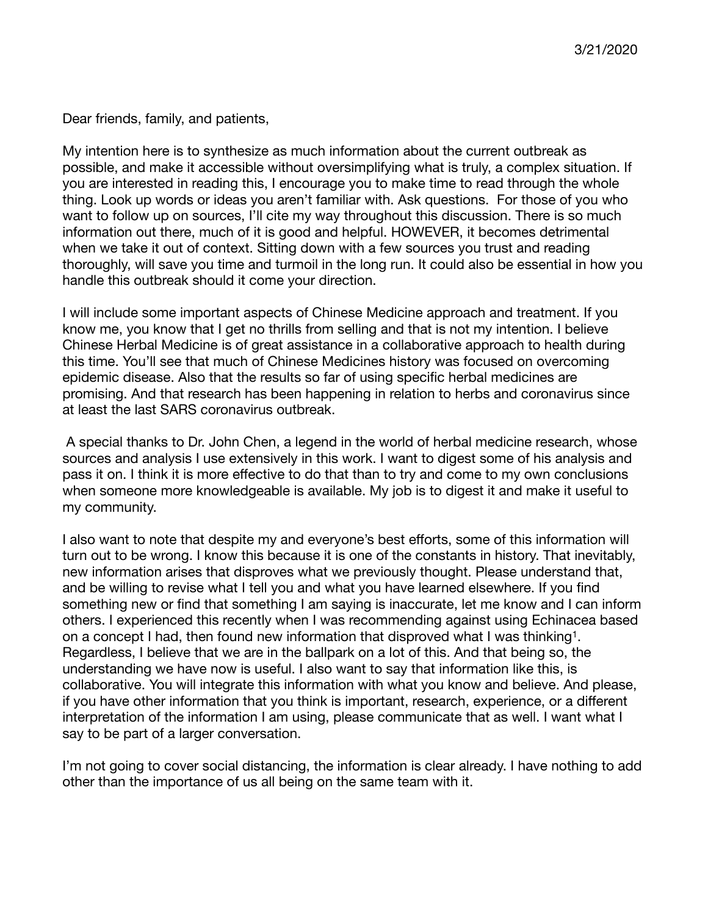Dear friends, family, and patients,

My intention here is to synthesize as much information about the current outbreak as possible, and make it accessible without oversimplifying what is truly, a complex situation. If you are interested in reading this, I encourage you to make time to read through the whole thing. Look up words or ideas you aren't familiar with. Ask questions. For those of you who want to follow up on sources, I'll cite my way throughout this discussion. There is so much information out there, much of it is good and helpful. HOWEVER, it becomes detrimental when we take it out of context. Sitting down with a few sources you trust and reading thoroughly, will save you time and turmoil in the long run. It could also be essential in how you handle this outbreak should it come your direction.

I will include some important aspects of Chinese Medicine approach and treatment. If you know me, you know that I get no thrills from selling and that is not my intention. I believe Chinese Herbal Medicine is of great assistance in a collaborative approach to health during this time. You'll see that much of Chinese Medicines history was focused on overcoming epidemic disease. Also that the results so far of using specific herbal medicines are promising. And that research has been happening in relation to herbs and coronavirus since at least the last SARS coronavirus outbreak.

 A special thanks to Dr. John Chen, a legend in the world of herbal medicine research, whose sources and analysis I use extensively in this work. I want to digest some of his analysis and pass it on. I think it is more effective to do that than to try and come to my own conclusions when someone more knowledgeable is available. My job is to digest it and make it useful to my community.

<span id="page-0-0"></span>I also want to note that despite my and everyone's best efforts, some of this information will turn out to be wrong. I know this because it is one of the constants in history. That inevitably, new information arises that disproves what we previously thought. Please understand that, and be willing to revise what I tell you and what you have learned elsewhere. If you find something new or find that something I am saying is inaccurate, let me know and I can inform others. I experienced this recently when I was recommending against using Echinacea based on a concept I had, then found new information that disproved what I was thinking<sup>[1](#page-8-0)</sup>. Regardless, I believe that we are in the ballpark on a lot of this. And that being so, the understanding we have now is useful. I also want to say that information like this, is collaborative. You will integrate this information with what you know and believe. And please, if you have other information that you think is important, research, experience, or a different interpretation of the information I am using, please communicate that as well. I want what I say to be part of a larger conversation.

I'm not going to cover social distancing, the information is clear already. I have nothing to add other than the importance of us all being on the same team with it.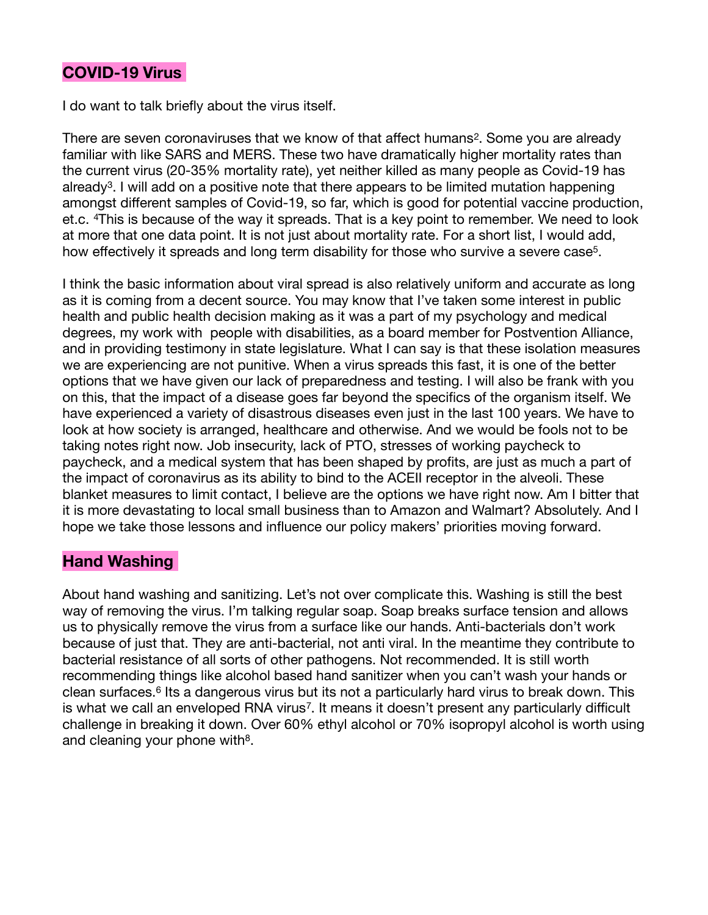## **COVID-19 Virus**

I do want to talk briefly about the virus itself.

<span id="page-1-1"></span><span id="page-1-0"></span>There are seven coronaviruses that we know of that affect humans<sup>[2](#page-8-1)</sup>. Some you are already familiar with like SARS and MERS. These two have dramatically higher mortality rates than the current virus (20-35% mortality rate), yet neither killed as many people as Covid-19 has already<sup>[3](#page-8-2)</sup>. I will add on a positive note that there appears to be limited mutation happening amongst different samples of Covid-19, so far, which is good for potential vaccine production, et.c. <sup>[4](#page-8-3)</sup>This is because of the way it spreads. That is a key point to remember. We need to look at more that one data point. It is not just about mortality rate. For a short list, I would add, how effectively it spreads and long term disability for those who survive a severe case<sup>[5](#page-8-4)</sup>.

<span id="page-1-3"></span><span id="page-1-2"></span>I think the basic information about viral spread is also relatively uniform and accurate as long as it is coming from a decent source. You may know that I've taken some interest in public health and public health decision making as it was a part of my psychology and medical degrees, my work with people with disabilities, as a board member for Postvention Alliance, and in providing testimony in state legislature. What I can say is that these isolation measures we are experiencing are not punitive. When a virus spreads this fast, it is one of the better options that we have given our lack of preparedness and testing. I will also be frank with you on this, that the impact of a disease goes far beyond the specifics of the organism itself. We have experienced a variety of disastrous diseases even just in the last 100 years. We have to look at how society is arranged, healthcare and otherwise. And we would be fools not to be taking notes right now. Job insecurity, lack of PTO, stresses of working paycheck to paycheck, and a medical system that has been shaped by profits, are just as much a part of the impact of coronavirus as its ability to bind to the ACEII receptor in the alveoli. These blanket measures to limit contact, I believe are the options we have right now. Am I bitter that it is more devastating to local small business than to Amazon and Walmart? Absolutely. And I hope we take those lessons and influence our policy makers' priorities moving forward.

## **Hand Washing**

<span id="page-1-6"></span><span id="page-1-5"></span><span id="page-1-4"></span>About hand washing and sanitizing. Let's not over complicate this. Washing is still the best way of removing the virus. I'm talking regular soap. Soap breaks surface tension and allows us to physically remove the virus from a surface like our hands. Anti-bacterials don't work because of just that. They are anti-bacterial, not anti viral. In the meantime they contribute to bacterial resistance of all sorts of other pathogens. Not recommended. It is still worth recommending things like alcohol based hand sanitizer when you can't wash your hands or clean surfaces.<sup>[6](#page-8-5)</sup> Its a dangerous virus but its not a particularly hard virus to break down. This is what we call an enveloped RNA virus<sup>[7](#page-8-6)</sup>. It means it doesn't present any particularly difficult challenge in breaking it down. Over 60% ethyl alcohol or 70% isopropyl alcohol is worth using and cleaning your phone with $8$ .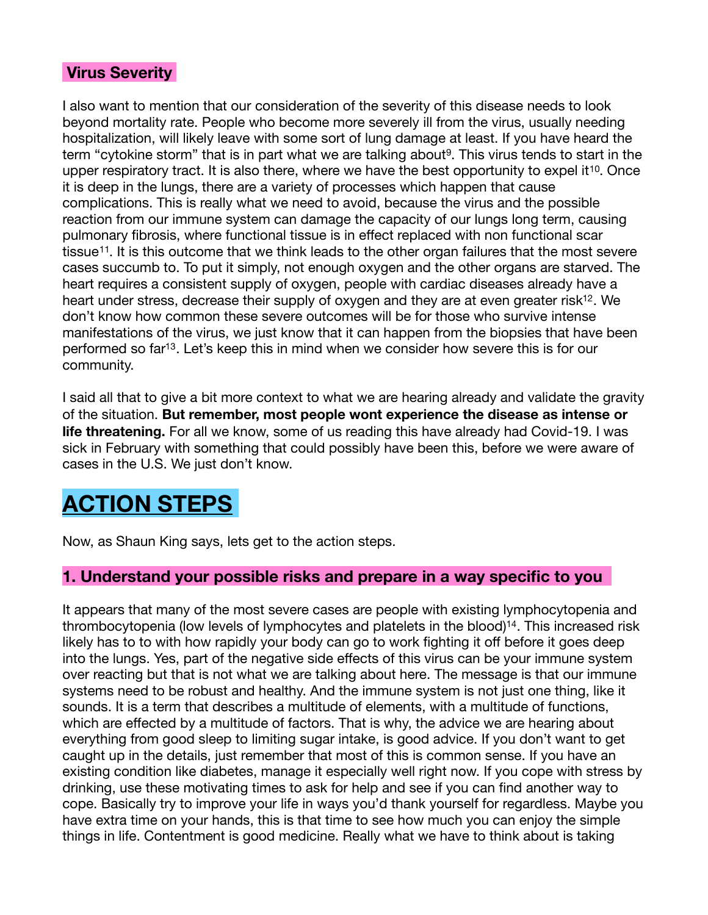## **Virus Severity**

<span id="page-2-2"></span><span id="page-2-1"></span><span id="page-2-0"></span>I also want to mention that our consideration of the severity of this disease needs to look beyond mortality rate. People who become more severely ill from the virus, usually needing hospitalization, will likely leave with some sort of lung damage at least. If you have heard the term "cytokine storm" that is in part what we are talking about<sup>[9](#page-8-8)</sup>. This virus tends to start in the upper respiratory tract. It is also there, where we have the best opportunity to expel it  $10$ . Once it is deep in the lungs, there are a variety of processes which happen that cause complications. This is really what we need to avoid, because the virus and the possible reaction from our immune system can damage the capacity of our lungs long term, causing pulmonary fibrosis, where functional tissue is in effect replaced with non functional scar tissue<sup>[11](#page-8-10)</sup>. It is this outcome that we think leads to the other organ failures that the most severe cases succumb to. To put it simply, not enough oxygen and the other organs are starved. The heart requires a consistent supply of oxygen, people with cardiac diseases already have a heart under stress, decrease their supply of oxygen and they are at even greater risk<sup>[12](#page-8-11)</sup>. We don't know how common these severe outcomes will be for those who survive intense manifestations of the virus, we just know that it can happen from the biopsies that have been performed so far<sup>[13](#page-8-12)</sup>. Let's keep this in mind when we consider how severe this is for our community.

<span id="page-2-4"></span><span id="page-2-3"></span>I said all that to give a bit more context to what we are hearing already and validate the gravity of the situation. **But remember, most people wont experience the disease as intense or life threatening.** For all we know, some of us reading this have already had Covid-19. I was sick in February with something that could possibly have been this, before we were aware of cases in the U.S. We just don't know.

# **ACTION STEPS**

Now, as Shaun King says, lets get to the action steps.

## **1. Understand your possible risks and prepare in a way specific to you**

<span id="page-2-5"></span>It appears that many of the most severe cases are people with existing lymphocytopenia and thrombocytopenia (low levels of lymphocytes and platelets in the blood)<sup>14</sup>[.](#page-8-13) This increased risk likely has to to with how rapidly your body can go to work fighting it off before it goes deep into the lungs. Yes, part of the negative side effects of this virus can be your immune system over reacting but that is not what we are talking about here. The message is that our immune systems need to be robust and healthy. And the immune system is not just one thing, like it sounds. It is a term that describes a multitude of elements, with a multitude of functions, which are effected by a multitude of factors. That is why, the advice we are hearing about everything from good sleep to limiting sugar intake, is good advice. If you don't want to get caught up in the details, just remember that most of this is common sense. If you have an existing condition like diabetes, manage it especially well right now. If you cope with stress by drinking, use these motivating times to ask for help and see if you can find another way to cope. Basically try to improve your life in ways you'd thank yourself for regardless. Maybe you have extra time on your hands, this is that time to see how much you can enjoy the simple things in life. Contentment is good medicine. Really what we have to think about is taking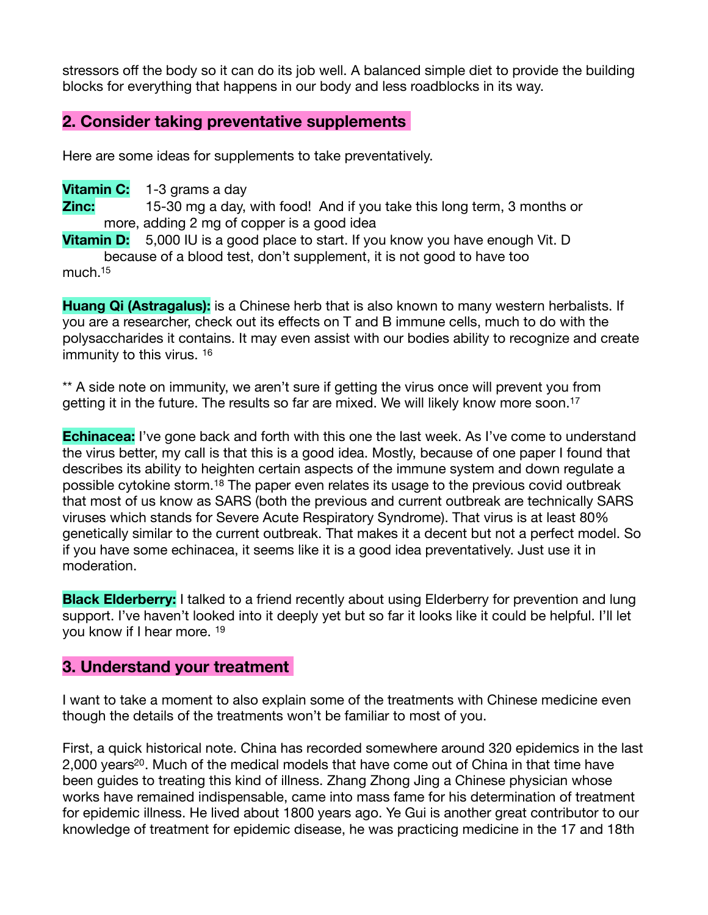stressors off the body so it can do its job well. A balanced simple diet to provide the building blocks for everything that happens in our body and less roadblocks in its way.

## **2. Consider taking preventative supplements**

Here are some ideas for supplements to take preventatively.

**Vitamin C:** 1-3 grams a day **Zinc:** 15-30 mg a day, with food! And if you take this long term, 3 months or more, adding 2 mg of copper is a good idea

**Vitamin D:** 5,000 IU is a good place to start. If you know you have enough Vit. D because of a blood test, don't supplement, it is not good to have too 

<span id="page-3-0"></span>much[.15](#page-8-14)

**Huang Qi (Astragalus):** is a Chinese herb that is also known to many western herbalists. If you are a researcher, check out its effects on T and B immune cells, much to do with the polysaccharides it contains. It may even assist with our bodies ability to recognize and create immunity to this virus. [16](#page-8-15)

<span id="page-3-2"></span><span id="page-3-1"></span>\*\* A side note on immunity, we aren't sure if getting the virus once will prevent you from getting it in the future. The results so far are mixed. We will likely know more soon.<sup>[17](#page-8-16)</sup>

<span id="page-3-3"></span>**Echinacea:** I've gone back and forth with this one the last week. As I've come to understand the virus better, my call is that this is a good idea. Mostly, because of one paper I found that describes its ability to heighten certain aspects of the immune system and down regulate a possiblecytokine storm.<sup>[18](#page-8-17)</sup> The paper even relates its usage to the previous covid outbreak that most of us know as SARS (both the previous and current outbreak are technically SARS viruses which stands for Severe Acute Respiratory Syndrome). That virus is at least 80% genetically similar to the current outbreak. That makes it a decent but not a perfect model. So if you have some echinacea, it seems like it is a good idea preventatively. Just use it in moderation.

<span id="page-3-4"></span>**Black Elderberry:** I talked to a friend recently about using Elderberry for prevention and lung support. I've haven't looked into it deeply yet but so far it looks like it could be helpful. I'll let you know if I hear more. [19](#page-9-0)

## **3. Understand your treatment**

I want to take a moment to also explain some of the treatments with Chinese medicine even though the details of the treatments won't be familiar to most of you.

<span id="page-3-5"></span>First, a quick historical note. China has recorded somewhere around 320 epidemics in the last 2,000 years<sup>[20](#page-9-1)</sup>. Much of the medical models that have come out of China in that time have been guides to treating this kind of illness. Zhang Zhong Jing a Chinese physician whose works have remained indispensable, came into mass fame for his determination of treatment for epidemic illness. He lived about 1800 years ago. Ye Gui is another great contributor to our knowledge of treatment for epidemic disease, he was practicing medicine in the 17 and 18th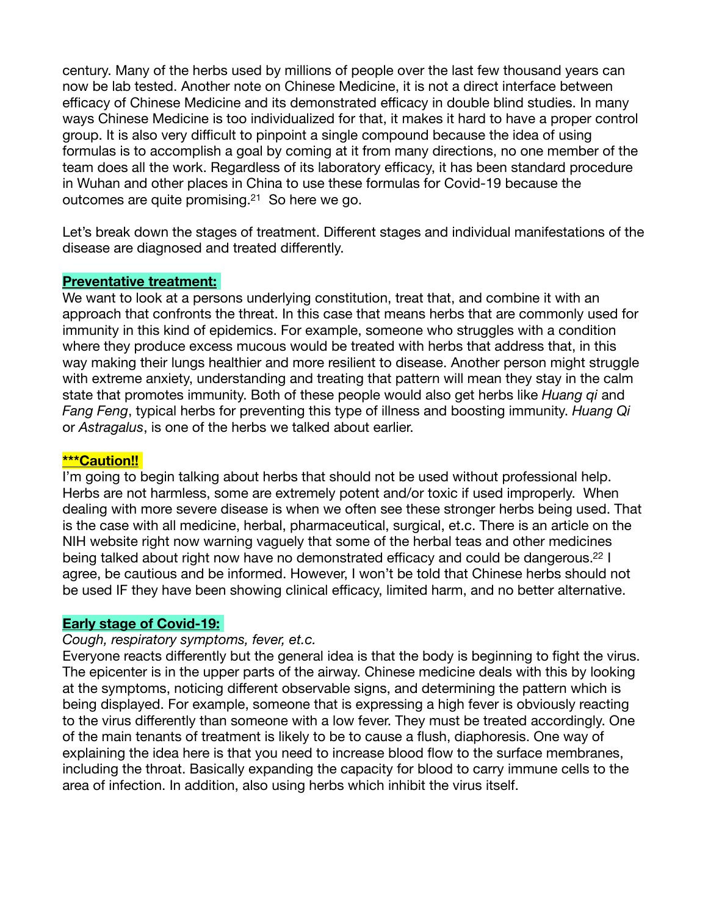century. Many of the herbs used by millions of people over the last few thousand years can now be lab tested. Another note on Chinese Medicine, it is not a direct interface between efficacy of Chinese Medicine and its demonstrated efficacy in double blind studies. In many ways Chinese Medicine is too individualized for that, it makes it hard to have a proper control group. It is also very difficult to pinpoint a single compound because the idea of using formulas is to accomplish a goal by coming at it from many directions, no one member of the team does all the work. Regardless of its laboratory efficacy, it has been standard procedure in Wuhan and other places in China to use these formulas for Covid-19 because the outcomes are quite promising. $21$  So here we go.

Let's break down the stages of treatment. Different stages and individual manifestations of the disease are diagnosed and treated differently.

#### **Preventative treatment:**

We want to look at a persons underlying constitution, treat that, and combine it with an approach that confronts the threat. In this case that means herbs that are commonly used for immunity in this kind of epidemics. For example, someone who struggles with a condition where they produce excess mucous would be treated with herbs that address that, in this way making their lungs healthier and more resilient to disease. Another person might struggle with extreme anxiety, understanding and treating that pattern will mean they stay in the calm state that promotes immunity. Both of these people would also get herbs like *Huang qi* and *Fang Feng*, typical herbs for preventing this type of illness and boosting immunity. *Huang Qi* or *Astragalus*, is one of the herbs we talked about earlier.

#### **\*\*\*Caution!!**

I'm going to begin talking about herbs that should not be used without professional help. Herbs are not harmless, some are extremely potent and/or toxic if used improperly. When dealing with more severe disease is when we often see these stronger herbs being used. That is the case with all medicine, herbal, pharmaceutical, surgical, et.c. There is an article on the NIH website right now warning vaguely that some of the herbal teas and other medicines being talked about right now have no demonstrated efficacy and could be dangerous.<sup>22</sup> I agree, be cautious and be informed. However, I won't be told that Chinese herbs should not be used IF they have been showing clinical efficacy, limited harm, and no better alternative.

#### **Early stage of Covid-19:**

#### *Cough, respiratory symptoms, fever, et.c.*

Everyone reacts differently but the general idea is that the body is beginning to fight the virus. The epicenter is in the upper parts of the airway. Chinese medicine deals with this by looking at the symptoms, noticing different observable signs, and determining the pattern which is being displayed. For example, someone that is expressing a high fever is obviously reacting to the virus differently than someone with a low fever. They must be treated accordingly. One of the main tenants of treatment is likely to be to cause a flush, diaphoresis. One way of explaining the idea here is that you need to increase blood flow to the surface membranes, including the throat. Basically expanding the capacity for blood to carry immune cells to the area of infection. In addition, also using herbs which inhibit the virus itself.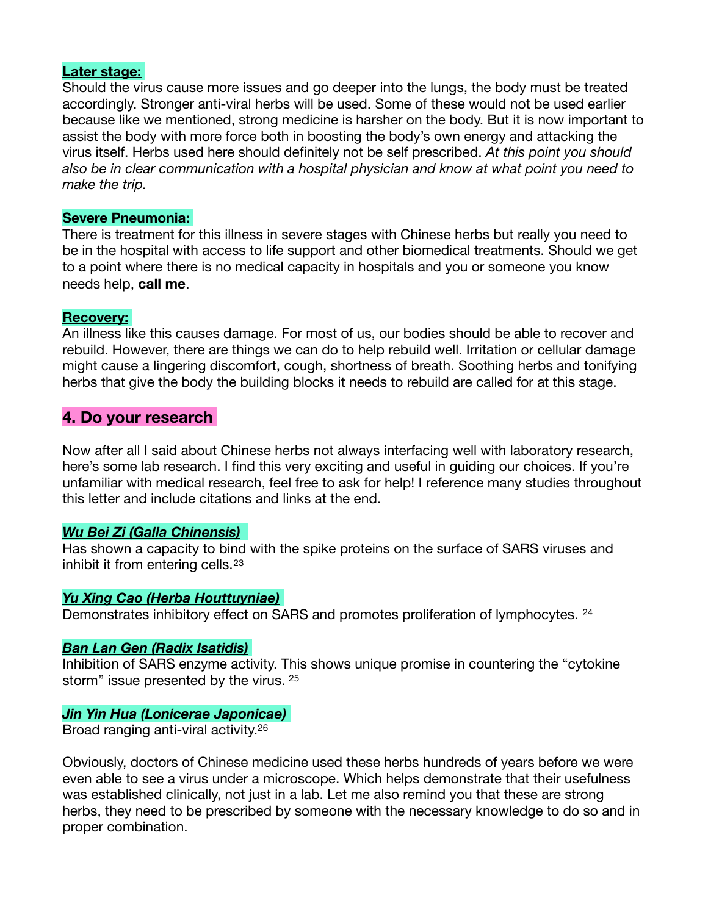#### **Later stage:**

Should the virus cause more issues and go deeper into the lungs, the body must be treated accordingly. Stronger anti-viral herbs will be used. Some of these would not be used earlier because like we mentioned, strong medicine is harsher on the body. But it is now important to assist the body with more force both in boosting the body's own energy and attacking the virus itself. Herbs used here should definitely not be self prescribed. *At this point you should also be in clear communication with a hospital physician and know at what point you need to make the trip.*

#### **Severe Pneumonia:**

There is treatment for this illness in severe stages with Chinese herbs but really you need to be in the hospital with access to life support and other biomedical treatments. Should we get to a point where there is no medical capacity in hospitals and you or someone you know needs help, **call me**.

#### **Recovery:**

An illness like this causes damage. For most of us, our bodies should be able to recover and rebuild. However, there are things we can do to help rebuild well. Irritation or cellular damage might cause a lingering discomfort, cough, shortness of breath. Soothing herbs and tonifying herbs that give the body the building blocks it needs to rebuild are called for at this stage.

#### **4. Do your research**

Now after all I said about Chinese herbs not always interfacing well with laboratory research, here's some lab research. I find this very exciting and useful in guiding our choices. If you're unfamiliar with medical research, feel free to ask for help! I reference many studies throughout this letter and include citations and links at the end.

#### *Wu Bei Zi (Galla Chinensis)*

<span id="page-5-0"></span>Has shown a capacity to bind with the spike proteins on the surface of SARS viruses and inhibit it from entering cells.<sup>[23](#page-9-2)</sup>

#### *Yu Xing Cao (Herba Houttuyniae)*

<span id="page-5-1"></span>Demonstrates inhibitory effect on SARS and promotes proliferation of lymphocytes. <sup>[24](#page-9-3)</sup>

#### *Ban Lan Gen (Radix Isatidis)*

<span id="page-5-2"></span>Inhibition of SARS enzyme activity. This shows unique promise in countering the "cytokine storm" issue presented by the virus. [25](#page-9-4)

### *Jin Yin Hua (Lonicerae Japonicae)*

<span id="page-5-3"></span>Broad ranging anti-viral activity.[26](#page-9-5)

Obviously, doctors of Chinese medicine used these herbs hundreds of years before we were even able to see a virus under a microscope. Which helps demonstrate that their usefulness was established clinically, not just in a lab. Let me also remind you that these are strong herbs, they need to be prescribed by someone with the necessary knowledge to do so and in proper combination.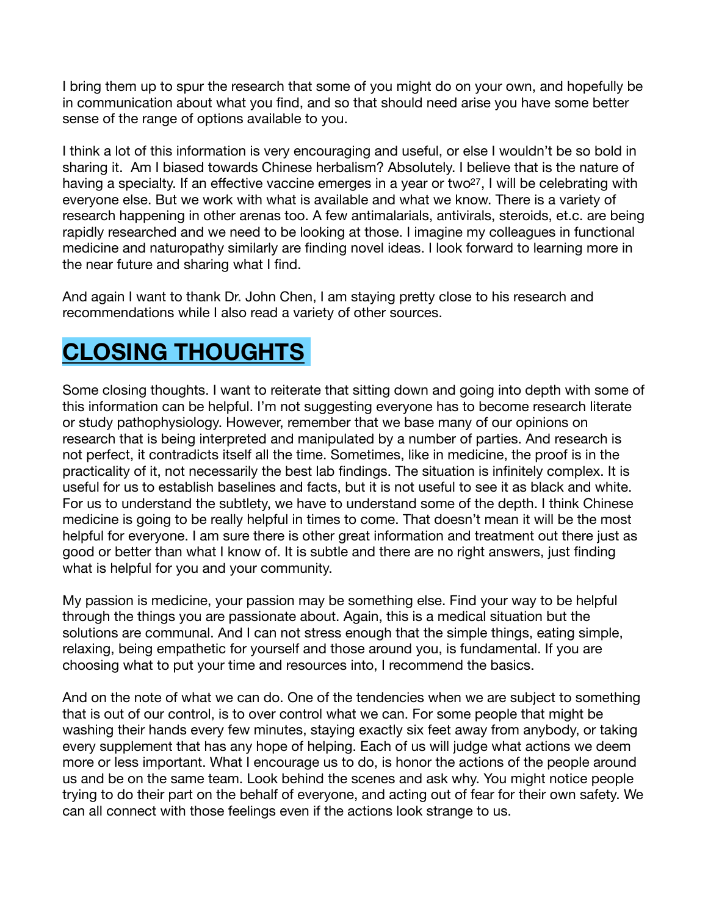I bring them up to spur the research that some of you might do on your own, and hopefully be in communication about what you find, and so that should need arise you have some better sense of the range of options available to you.

<span id="page-6-0"></span>I think a lot of this information is very encouraging and useful, or else I wouldn't be so bold in sharing it. Am I biased towards Chinese herbalism? Absolutely. I believe that is the nature of having a specialty. If an effective vaccine emerges in a year or two<sup>[27](#page-9-6)</sup>, I will be celebrating with everyone else. But we work with what is available and what we know. There is a variety of research happening in other arenas too. A few antimalarials, antivirals, steroids, et.c. are being rapidly researched and we need to be looking at those. I imagine my colleagues in functional medicine and naturopathy similarly are finding novel ideas. I look forward to learning more in the near future and sharing what I find.

And again I want to thank Dr. John Chen, I am staying pretty close to his research and recommendations while I also read a variety of other sources.

## **CLOSING THOUGHTS**

Some closing thoughts. I want to reiterate that sitting down and going into depth with some of this information can be helpful. I'm not suggesting everyone has to become research literate or study pathophysiology. However, remember that we base many of our opinions on research that is being interpreted and manipulated by a number of parties. And research is not perfect, it contradicts itself all the time. Sometimes, like in medicine, the proof is in the practicality of it, not necessarily the best lab findings. The situation is infinitely complex. It is useful for us to establish baselines and facts, but it is not useful to see it as black and white. For us to understand the subtlety, we have to understand some of the depth. I think Chinese medicine is going to be really helpful in times to come. That doesn't mean it will be the most helpful for everyone. I am sure there is other great information and treatment out there just as good or better than what I know of. It is subtle and there are no right answers, just finding what is helpful for you and your community.

My passion is medicine, your passion may be something else. Find your way to be helpful through the things you are passionate about. Again, this is a medical situation but the solutions are communal. And I can not stress enough that the simple things, eating simple, relaxing, being empathetic for yourself and those around you, is fundamental. If you are choosing what to put your time and resources into, I recommend the basics.

And on the note of what we can do. One of the tendencies when we are subject to something that is out of our control, is to over control what we can. For some people that might be washing their hands every few minutes, staying exactly six feet away from anybody, or taking every supplement that has any hope of helping. Each of us will judge what actions we deem more or less important. What I encourage us to do, is honor the actions of the people around us and be on the same team. Look behind the scenes and ask why. You might notice people trying to do their part on the behalf of everyone, and acting out of fear for their own safety. We can all connect with those feelings even if the actions look strange to us.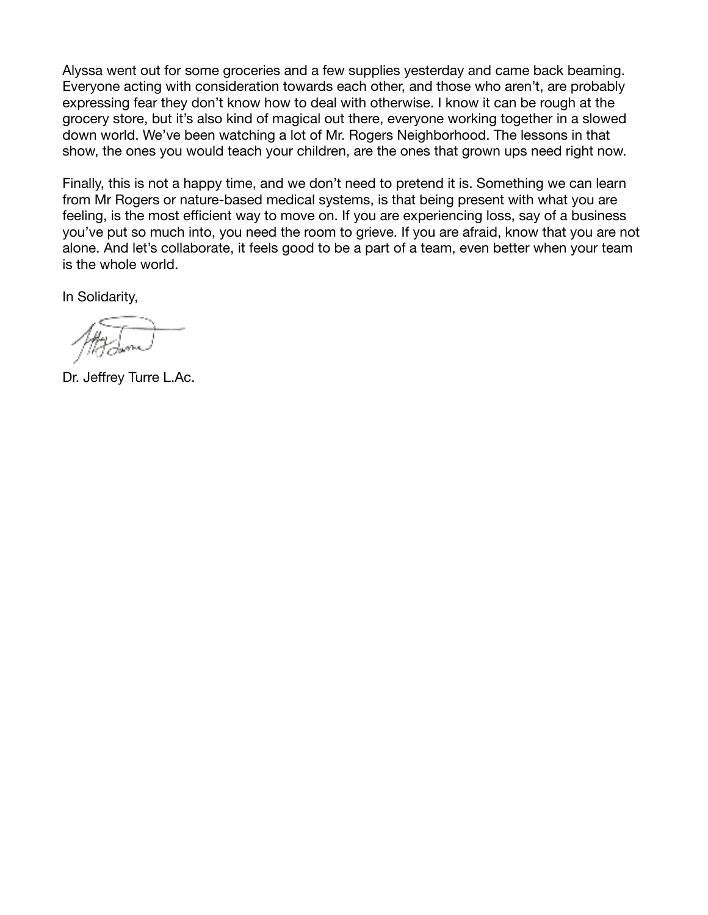Alyssa went out for some groceries and a few supplies yesterday and came back beaming. Everyone acting with consideration towards each other, and those who aren't, are probably expressing fear they don't know how to deal with otherwise. I know it can be rough at the grocery store, but it's also kind of magical out there, everyone working together in a slowed down world. We've been watching a lot of Mr. Rogers Neighborhood. The lessons in that show, the ones you would teach your children, are the ones that grown ups need right now.

Finally, this is not a happy time, and we don't need to pretend it is. Something we can learn from Mr Rogers or nature-based medical systems, is that being present with what you are feeling, is the most efficient way to move on. If you are experiencing loss, say of a business you've put so much into, you need the room to grieve. If you are afraid, know that you are not alone. And let's collaborate, it feels good to be a part of a team, even better when your team is the whole world.

In Solidarity,

Dr. Jeffrey Turre L.Ac.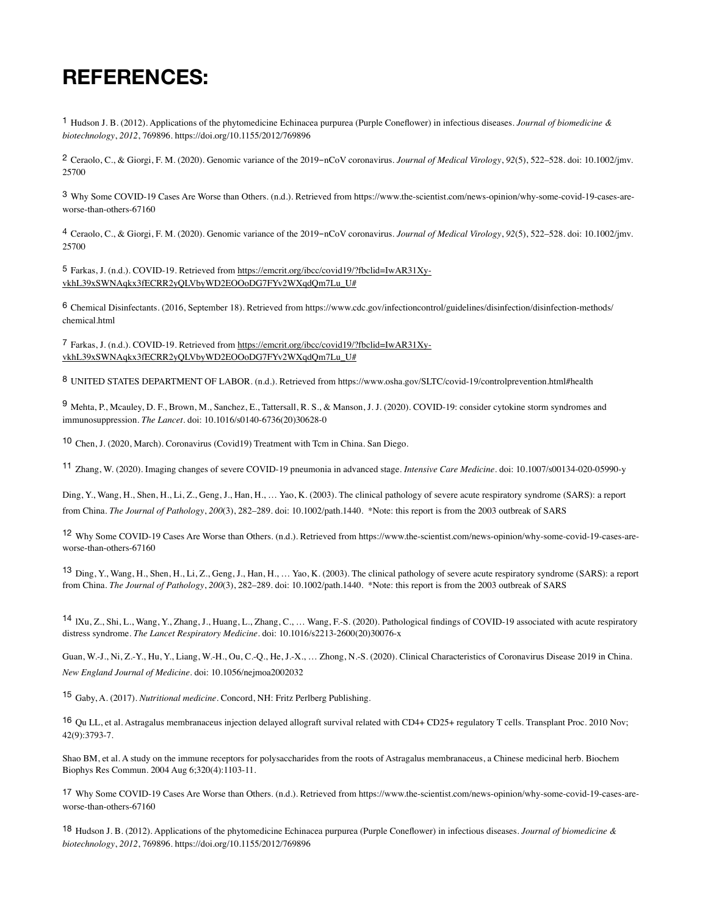## **REFERENCES:**

<span id="page-8-0"></span>[1](#page-0-0) Hudson J. B. (2012). Applications of the phytomedicine Echinacea purpurea (Purple Coneflower) in infectious diseases. *Journal of biomedicine & biotechnology*, *2012*, 769896. https://doi.org/10.1155/2012/769896

<span id="page-8-1"></span>[2](#page-1-0) Ceraolo, C., & Giorgi, F. M. (2020). Genomic variance of the 2019-nCoV coronavirus. *Journal of Medical Virology*, *92*(5), 522–528. doi: 10.1002/jmv. 25700

<span id="page-8-2"></span>[3](#page-1-1) Why Some COVID-19 Cases Are Worse than Others. (n.d.). Retrieved from https://www.the-scientist.com/news-opinion/why-some-covid-19-cases-areworse-than-others-67160

<span id="page-8-3"></span>[4](#page-1-2) Ceraolo, C., & Giorgi, F. M. (2020). Genomic variance of the 2019-nCoV coronavirus. *Journal of Medical Virology*, *92*(5), 522–528. doi: 10.1002/jmv. 25700

<span id="page-8-4"></span>[5](#page-1-3) [Farkas, J. \(n.d.\). COVID-19. Retrieved from https://emcrit.org/ibcc/covid19/?fbclid=IwAR31Xy](https://emcrit.org/ibcc/covid19/?fbclid=IwAR31Xy-vkhL39xSWNAqkx3fECRR2yQLVbyWD2EOOoDG7FYv2WXqdQm7Lu_U#)[vkhL39xSWNAqkx3fECRR2yQLVbyWD2EOOoDG7FYv2WXqdQm7Lu\\_U#](https://emcrit.org/ibcc/covid19/?fbclid=IwAR31Xy-vkhL39xSWNAqkx3fECRR2yQLVbyWD2EOOoDG7FYv2WXqdQm7Lu_U#)

<span id="page-8-5"></span>[6](#page-1-4) Chemical Disinfectants. (2016, September 18). Retrieved from https://www.cdc.gov/infectioncontrol/guidelines/disinfection/disinfection-methods/ chemical.html

<span id="page-8-6"></span>[7](#page-1-5) [Farkas, J. \(n.d.\). COVID-19. Retrieved from https://emcrit.org/ibcc/covid19/?fbclid=IwAR31Xy](https://emcrit.org/ibcc/covid19/?fbclid=IwAR31Xy-vkhL39xSWNAqkx3fECRR2yQLVbyWD2EOOoDG7FYv2WXqdQm7Lu_U#)[vkhL39xSWNAqkx3fECRR2yQLVbyWD2EOOoDG7FYv2WXqdQm7Lu\\_U#](https://emcrit.org/ibcc/covid19/?fbclid=IwAR31Xy-vkhL39xSWNAqkx3fECRR2yQLVbyWD2EOOoDG7FYv2WXqdQm7Lu_U#)

<span id="page-8-7"></span>[8](#page-1-6) UNITED STATES DEPARTMENT OF LABOR. (n.d.). Retrieved from https://www.osha.gov/SLTC/covid-19/controlprevention.html#health

<span id="page-8-8"></span>[9](#page-2-0) Mehta, P., Mcauley, D. F., Brown, M., Sanchez, E., Tattersall, R. S., & Manson, J. J. (2020). COVID-19: consider cytokine storm syndromes and immunosuppression. *The Lancet*. doi: 10.1016/s0140-6736(20)30628-0

<span id="page-8-9"></span>Chen, J. (2020, March). Coronavirus (Covid19) Treatment with Tcm in China. San Diego. [10](#page-2-1)

<span id="page-8-10"></span>Zhang, W. (2020). Imaging changes of severe COVID-19 pneumonia in advanced stage. *Intensive Care Medicine*. doi: 10.1007/s00134-020-05990-y [11](#page-2-2)

Ding, Y., Wang, H., Shen, H., Li, Z., Geng, J., Han, H., … Yao, K. (2003). The clinical pathology of severe acute respiratory syndrome (SARS): a report from China. *The Journal of Pathology*, *200*(3), 282–289. doi: 10.1002/path.1440. \*Note: this report is from the 2003 outbreak of SARS

<span id="page-8-11"></span><sup>[12](#page-2-3)</sup> Why Some COVID-19 Cases Are Worse than Others. (n.d.). Retrieved from https://www.the-scientist.com/news-opinion/why-some-covid-19-cases-areworse-than-others-67160

<span id="page-8-12"></span>Ding, Y., Wang, H., Shen, H., Li, Z., Geng, J., Han, H., … Yao, K. (2003). The clinical pathology of severe acute respiratory syndrome (SARS): a report [13](#page-2-4) from China. *The Journal of Pathology*, *200*(3), 282–289. doi: 10.1002/path.1440. \*Note: this report is from the 2003 outbreak of SARS

<span id="page-8-13"></span><sup>[14](#page-2-5)</sup> IXu, Z., Shi, L., Wang, Y., Zhang, J., Huang, L., Zhang, C., … Wang, F.-S. (2020). Pathological findings of COVID-19 associated with acute respiratory distress syndrome. *The Lancet Respiratory Medicine*. doi: 10.1016/s2213-2600(20)30076-x

Guan, W.-J., Ni, Z.-Y., Hu, Y., Liang, W.-H., Ou, C.-Q., He, J.-X., … Zhong, N.-S. (2020). Clinical Characteristics of Coronavirus Disease 2019 in China. *New England Journal of Medicine*. doi: 10.1056/nejmoa2002032

<span id="page-8-14"></span>Gaby, A. (2017). *Nutritional medicine*. Concord, NH: Fritz Perlberg Publishing. [15](#page-3-0)

<span id="page-8-15"></span>[16](#page-3-1) Qu LL, et al. Astragalus membranaceus injection delayed allograft survival related with CD4+ CD25+ regulatory T cells. Transplant Proc. 2010 Nov; 42(9):3793-7.

Shao BM, et al. A study on the immune receptors for polysaccharides from the roots of Astragalus membranaceus, a Chinese medicinal herb. Biochem Biophys Res Commun. 2004 Aug 6;320(4):1103-11.

<span id="page-8-16"></span>[17](#page-3-2) Why Some COVID-19 Cases Are Worse than Others. (n.d.). Retrieved from https://www.the-scientist.com/news-opinion/why-some-covid-19-cases-areworse-than-others-67160

<span id="page-8-17"></span>[18](#page-3-3) Hudson J. B. (2012). Applications of the phytomedicine Echinacea purpurea (Purple Coneflower) in infectious diseases. *Journal of biomedicine & biotechnology*, *2012*, 769896. https://doi.org/10.1155/2012/769896